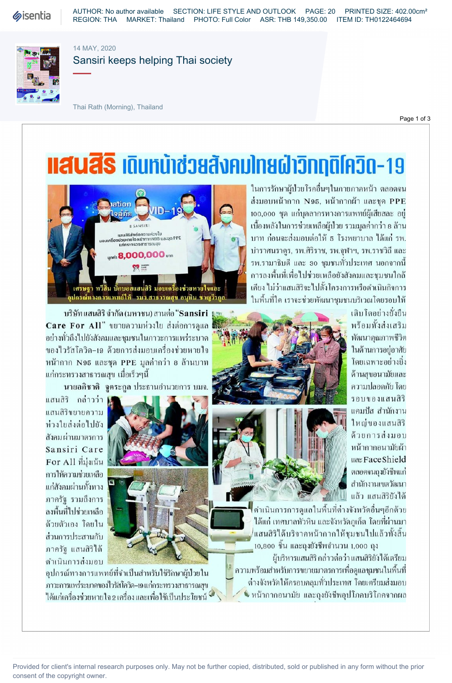**Sisentia** 

AUTHOR: No author available SECTION: LIFE STYLE AND OUTLOOK PAGE: 20 PRINTED SIZE: 402.00cm² REGION: THA MARKET: Thailand PHOTO: Full Color ASR: THB 149,350.00 ITEM ID: TH0122464694



14 MAY, 2020

## Sansiri keeps helping Thai society

Thai Rath (Morning), Thailand

Page 1 of 3

## **IIAUAS เ**ดินทน้าช่วยสังคมโทยฝ่าวิททุติโควิด-19



บริษัทแสนสิริ จำกัด (มหาชน) สานต่อ "Sansiri มุษ ซึ่ง สามารถ พระพันธ์ - เติบโตอย่างยั่งยืน Care For All" ขยายความห่วงใย ส่งต่อการดูแล 2000 2000 2000 2000 2000 2000 พร้อมทั้งส่งเสริม อย่างทั่วถึงไปยังสังคมและชุมชนในภาวะการแพร่ระบาด **ได้ให้ที่ที่สุด เพื่อมาการการการการการการการการการการการการก**<br>ของไวรัสโควิด-19 ด้วยการส่งมอบเครื่องช่วยหายใจ ของไวรัสโควิด–19 ด้วยการส่งมอบเครื่องช่วยหายใจ หน้ากาก N95 และชุด PPE มูลค่ากว่า 8 ล้านบาท **พระวันธุ์ จันที่ สิ่งที่ เ**ดียเฉพาะอย่างยิ่ง \* |8^ 1~ !

นายอภิชาติ - จูตระกูล ประธานอำนวยการ บมจ.

แสนสิริ กล่าวว่า ∦ แสนสิริขยายความ ห่วงใยส่งต่อไปยัง สังคมผ่านมาตรการ Sansiri Care ภาครัฐ รวมถึงการ



2 ^ V K

ในการรักษาผู้ป่วยโรคอื่นๆในภายภาคหน้า ตลอดจน ส่งมอบหน้ากาก N95, หน้ากากผ้า และชุด PPE 100,000 ชุด แก่บุคลากรทางการแพทย์ผู้เสียสละ อยู่ "^ x iSANSIRi 3 ,1^"^ 8 บาท ก่อนจะส่งมอบต่อให้ ธ โรงพยาบาล ได้แก่ รพ. บำราศนราดูร, รพ.ศิริราช, รพ.จุฬาฯ, รพ.ราชวิถี และ รพ.รามาธิบดี และ 30 ชุมชนทั่วประเทศ นอกจากนี้ การลงพื้นที่เพื่อไปช่วยเหลือยังสังคมและชุมชนใกล้ เคียง ไม่ว่าแสนสิริจะไปตั้งโครงการหรือดำเนินกิจการ ในพื้นที่ใด เราจะช่วยพัฒนาชมชนบริเวณโดยรอบให้



 " M I ด้วยตัวเอง โดยใน ส่วนการประสานกับ

ดำเนินการส่งมอบ อุปกรณ์ทางการแพทย์ที่จำเป็นสำหรับใช้รักษาผู้ป่วยใน ความพร้อมสำหรับการขยายมาตรการเพื่อดูแลชุมชนในพื้นที่ ภาวะการแพร่ระบาดของไวรัสโควิด-เอแก่กระทรวงสาธารณสุข

Provided for client's internal research purposes only. May not be further copied, distributed, sold or published in any form without the prior consent of the copyright owner.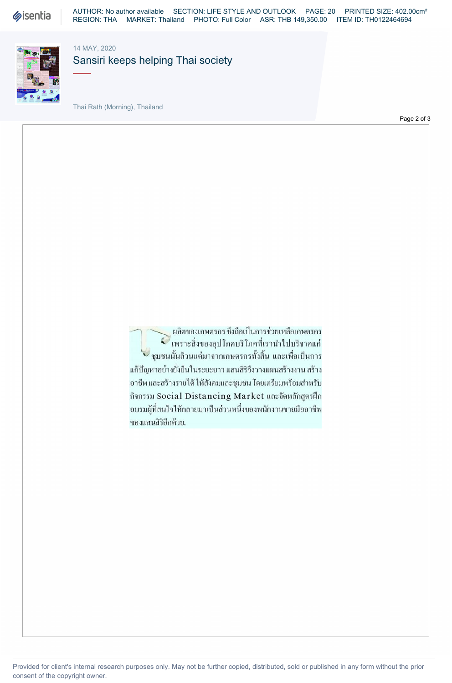**Sisentia** 

AUTHOR: No author available SECTION: LIFE STYLE AND OUTLOOK PAGE: 20 PRINTED SIZE: 402.00cm² REGION: THA MARKET: Thailand PHOTO: Full Color ASR: THB 149,350.00 ITEM ID: TH0122464694



14 MAY, 2020

Sansiri keeps helping Thai society

Thai Rath (Morning), Thailand

Page 2 of 3

ผลิตของเกษตรกร ซึ่งถือเป็นการช่วยเหลือเกษตรกร  $\mathcal C$ เพราะสิ่งของอุปโภคบริโภคที่เรานำไปบริจาคแก่ ึ้ง ชุมชนนั้นล้วนแต่มาจากเกษตรกรทั้งสิ้น และเพื่อเป็นการ แก้ปัญหาอย่างยั่งยืนในระยะยาว แสนสิริจึงวางแผนสร้างงาน สร้าง อาชีพ และสร้างรายใด้ ให้สังคมและชุมชน โดยเตรียมพร้อมสำหรับ กิจกรรม Social Distancing Market และจัดหลักสูตรฝึก อบรมผู้ที่สนใจให้กลายมาเป็นส่วนหนึ่งของพนักงานขายมืออาชีพ ของแสนสิริอีกด้วย.

Provided for client's internal research purposes only. May not be further copied, distributed, sold or published in any form without the prior consent of the copyright owner.